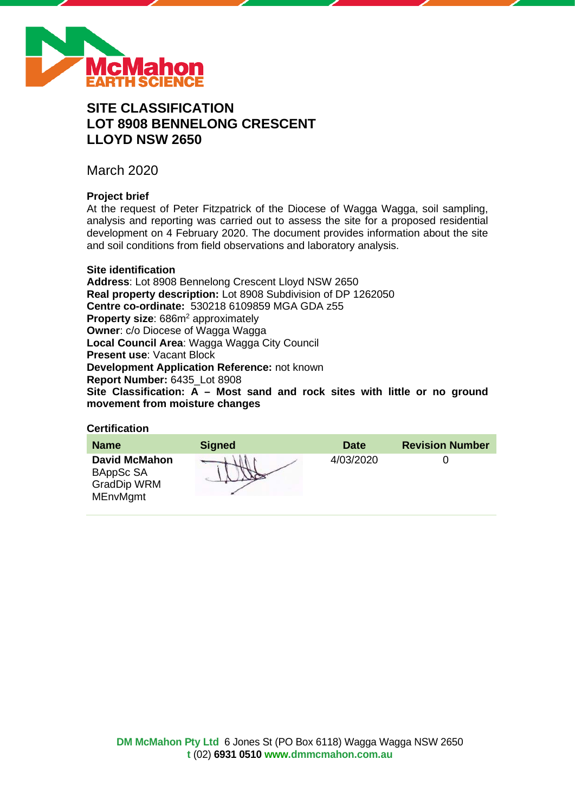

# **SITE CLASSIFICATION LOT 8908 BENNELONG CRESCENT LLOYD NSW 2650**

March 2020

# **Project brief**

At the request of Peter Fitzpatrick of the Diocese of Wagga Wagga, soil sampling, analysis and reporting was carried out to assess the site for a proposed residential development on 4 February 2020. The document provides information about the site and soil conditions from field observations and laboratory analysis.

# **Site identification**

**Address**: Lot 8908 Bennelong Crescent Lloyd NSW 2650 **Real property description:** Lot 8908 Subdivision of DP 1262050 **Centre co-ordinate:** 530218 6109859 MGA GDA z55 **Property size:** 686m<sup>2</sup> approximately **Owner**: c/o Diocese of Wagga Wagga **Local Council Area**: Wagga Wagga City Council **Present use**: Vacant Block **Development Application Reference:** not known **Report Number:** 6435\_Lot 8908 **Site Classification: A – Most sand and rock sites with little or no ground movement from moisture changes**

# **Certification**

| <b>Name</b>                                                                | <b>Signed</b> | <b>Date</b> | <b>Revision Number</b> |
|----------------------------------------------------------------------------|---------------|-------------|------------------------|
| <b>David McMahon</b><br>BAppSc SA<br><b>GradDip WRM</b><br><b>MEnvMgmt</b> |               | 4/03/2020   |                        |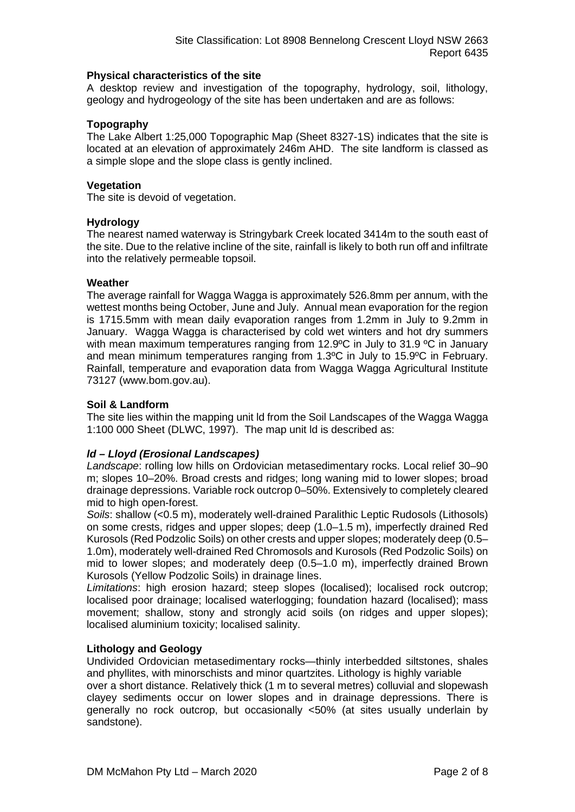### **Physical characteristics of the site**

A desktop review and investigation of the topography, hydrology, soil, lithology, geology and hydrogeology of the site has been undertaken and are as follows:

# **Topography**

The Lake Albert 1:25,000 Topographic Map (Sheet 8327-1S) indicates that the site is located at an elevation of approximately 246m AHD. The site landform is classed as a simple slope and the slope class is gently inclined.

# **Vegetation**

The site is devoid of vegetation.

# **Hydrology**

The nearest named waterway is Stringybark Creek located 3414m to the south east of the site. Due to the relative incline of the site, rainfall is likely to both run off and infiltrate into the relatively permeable topsoil.

# **Weather**

The average rainfall for Wagga Wagga is approximately 526.8mm per annum, with the wettest months being October, June and July. Annual mean evaporation for the region is 1715.5mm with mean daily evaporation ranges from 1.2mm in July to 9.2mm in January. Wagga Wagga is characterised by cold wet winters and hot dry summers with mean maximum temperatures ranging from 12.9°C in July to 31.9 °C in January and mean minimum temperatures ranging from 1.3ºC in July to 15.9ºC in February. Rainfall, temperature and evaporation data from Wagga Wagga Agricultural Institute 73127 (www.bom.gov.au).

# **Soil & Landform**

The site lies within the mapping unit ld from the Soil Landscapes of the Wagga Wagga 1:100 000 Sheet (DLWC, 1997). The map unit ld is described as:

# *ld – Lloyd (Erosional Landscapes)*

*Landscape*: rolling low hills on Ordovician metasedimentary rocks. Local relief 30–90 m; slopes 10–20%. Broad crests and ridges; long waning mid to lower slopes; broad drainage depressions. Variable rock outcrop 0–50%. Extensively to completely cleared mid to high open-forest.

*Soils*: shallow (<0.5 m), moderately well-drained Paralithic Leptic Rudosols (Lithosols) on some crests, ridges and upper slopes; deep (1.0–1.5 m), imperfectly drained Red Kurosols (Red Podzolic Soils) on other crests and upper slopes; moderately deep (0.5– 1.0m), moderately well-drained Red Chromosols and Kurosols (Red Podzolic Soils) on mid to lower slopes; and moderately deep (0.5–1.0 m), imperfectly drained Brown Kurosols (Yellow Podzolic Soils) in drainage lines.

*Limitations*: high erosion hazard; steep slopes (localised); localised rock outcrop; localised poor drainage; localised waterlogging; foundation hazard (localised); mass movement; shallow, stony and strongly acid soils (on ridges and upper slopes); localised aluminium toxicity; localised salinity.

#### **Lithology and Geology**

Undivided Ordovician metasedimentary rocks—thinly interbedded siltstones, shales and phyllites, with minorschists and minor quartzites. Lithology is highly variable

over a short distance. Relatively thick (1 m to several metres) colluvial and slopewash clayey sediments occur on lower slopes and in drainage depressions. There is generally no rock outcrop, but occasionally <50% (at sites usually underlain by sandstone).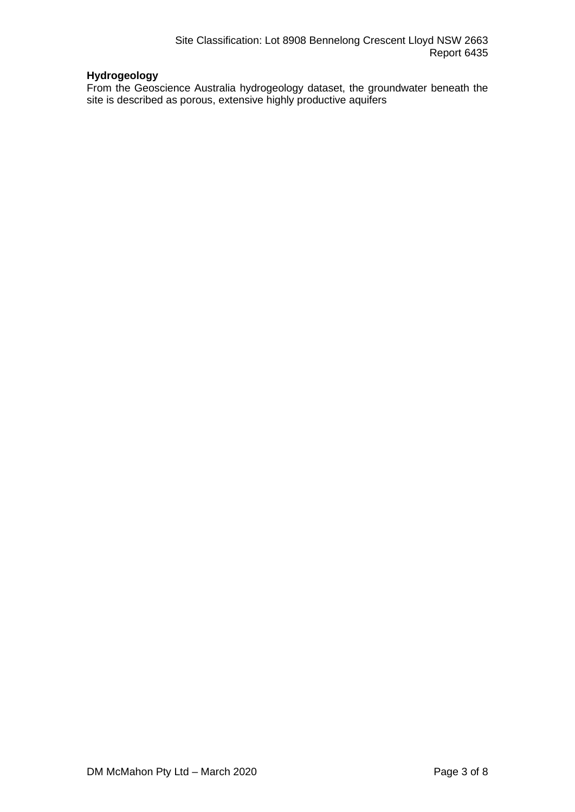# **Hydrogeology**

From the Geoscience Australia hydrogeology dataset, the groundwater beneath the site is described as porous, extensive highly productive aquifers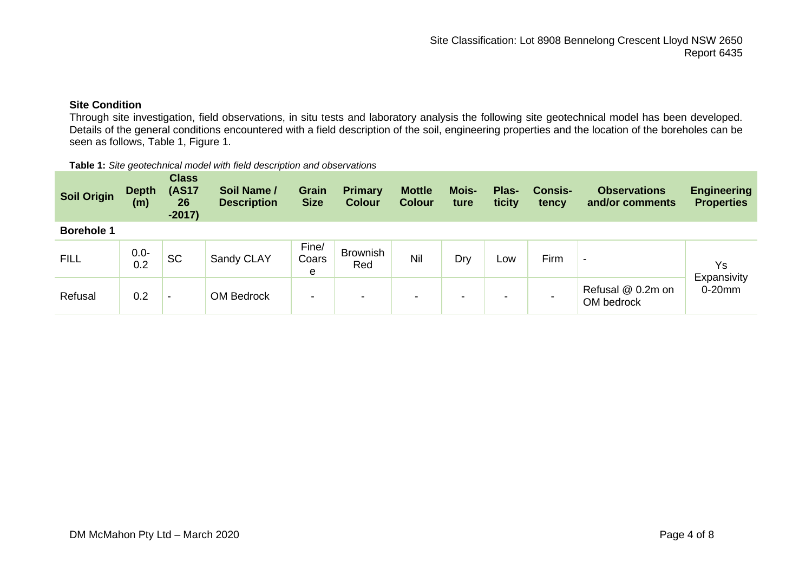# **Site Condition**

Through site investigation, field observations, in situ tests and laboratory analysis the following site geotechnical model has been developed. Details of the general conditions encountered with a field description of the soil, engineering properties and the location of the boreholes can be seen as follows, Table 1, Figure 1.

#### **Table 1:** *Site geotechnical model with field description and observations*

| <b>Soil Origin</b> | <b>Depth</b><br>(m) | <b>Class</b><br><b>(AS17</b><br>26<br>$-2017)$ | Soil Name /<br><b>Description</b> | <b>Grain</b><br><b>Size</b> | <b>Primary</b><br><b>Colour</b> | <b>Mottle</b><br><b>Colour</b> | <b>Mois-</b><br>ture     | Plas-<br>ticity | <b>Consis-</b><br>tency | <b>Observations</b><br>and/or comments | <b>Engineering</b><br><b>Properties</b> |
|--------------------|---------------------|------------------------------------------------|-----------------------------------|-----------------------------|---------------------------------|--------------------------------|--------------------------|-----------------|-------------------------|----------------------------------------|-----------------------------------------|
| <b>Borehole 1</b>  |                     |                                                |                                   |                             |                                 |                                |                          |                 |                         |                                        |                                         |
| <b>FILL</b>        | $0.0 -$<br>0.2      | <b>SC</b>                                      | Sandy CLAY                        | Fine/<br>Coars<br>e         | <b>Brownish</b><br>Red          | Nil                            | Dry                      | Low             | Firm                    | $\,$                                   | Ys<br>Expansivity                       |
| Refusal            | 0.2                 | $\overline{\phantom{0}}$                       | <b>OM Bedrock</b>                 | $\blacksquare$              | $\,$                            | -                              | $\overline{\phantom{a}}$ | -               |                         | Refusal @ 0.2m on<br>OM bedrock        | $0-20$ mm                               |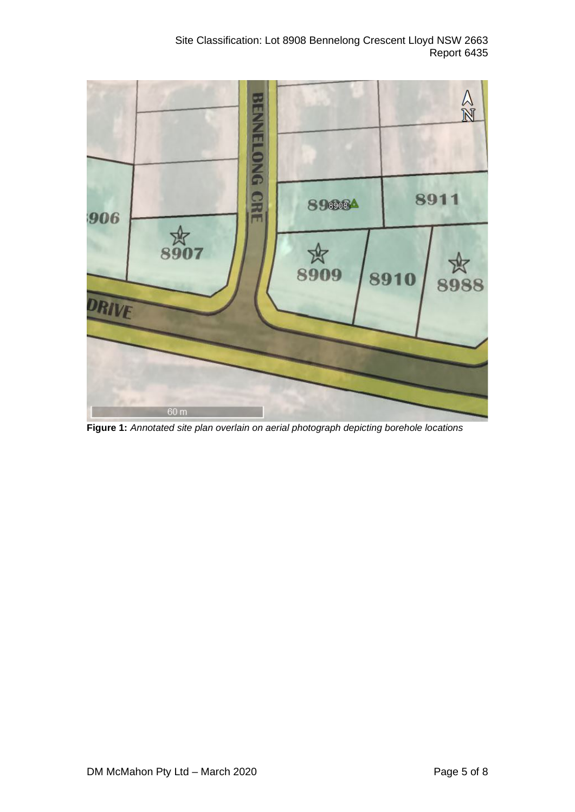Site Classification: Lot 8908 Bennelong Crescent Lloyd NSW 2663 Report 6435



**Figure 1:** *Annotated site plan overlain on aerial photograph depicting borehole locations*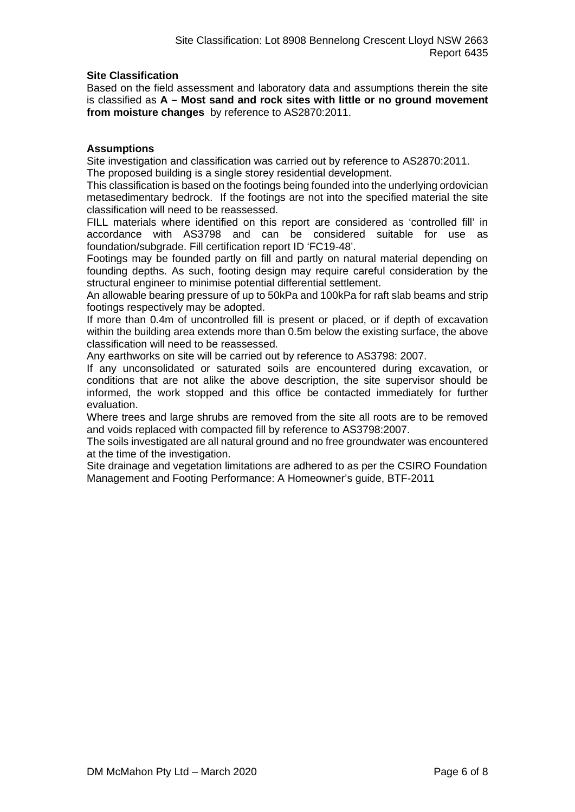# **Site Classification**

Based on the field assessment and laboratory data and assumptions therein the site is classified as **A – Most sand and rock sites with little or no ground movement from moisture changes** by reference to AS2870:2011.

# **Assumptions**

Site investigation and classification was carried out by reference to AS2870:2011. The proposed building is a single storey residential development.

This classification is based on the footings being founded into the underlying ordovician metasedimentary bedrock. If the footings are not into the specified material the site classification will need to be reassessed.

FILL materials where identified on this report are considered as 'controlled fill' in accordance with AS3798 and can be considered suitable for use as foundation/subgrade. Fill certification report ID 'FC19-48'.

Footings may be founded partly on fill and partly on natural material depending on founding depths. As such, footing design may require careful consideration by the structural engineer to minimise potential differential settlement.

An allowable bearing pressure of up to 50kPa and 100kPa for raft slab beams and strip footings respectively may be adopted.

If more than 0.4m of uncontrolled fill is present or placed, or if depth of excavation within the building area extends more than 0.5m below the existing surface, the above classification will need to be reassessed.

Any earthworks on site will be carried out by reference to AS3798: 2007.

If any unconsolidated or saturated soils are encountered during excavation, or conditions that are not alike the above description, the site supervisor should be informed, the work stopped and this office be contacted immediately for further evaluation.

Where trees and large shrubs are removed from the site all roots are to be removed and voids replaced with compacted fill by reference to AS3798:2007.

The soils investigated are all natural ground and no free groundwater was encountered at the time of the investigation.

Site drainage and vegetation limitations are adhered to as per the CSIRO Foundation Management and Footing Performance: A Homeowner's guide, BTF-2011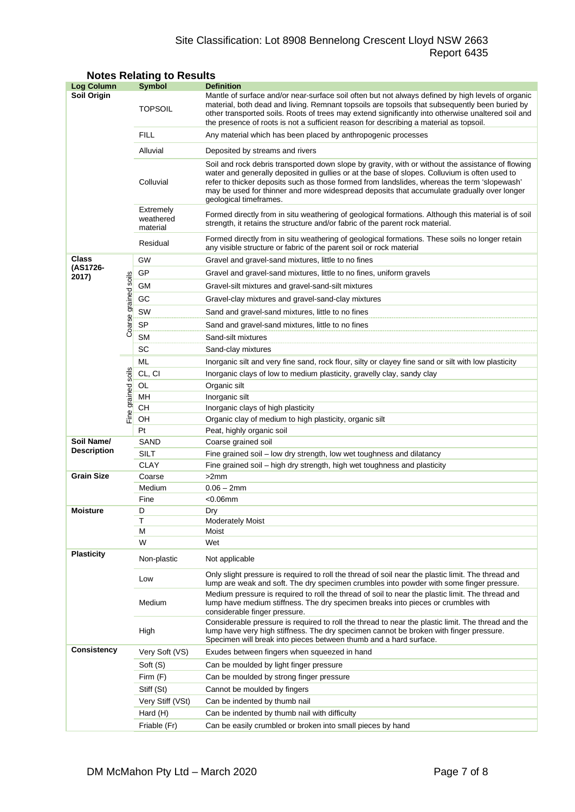# Site Classification: Lot 8908 Bennelong Crescent Lloyd NSW 2663 Report 6435

| <b>Log Column</b>  |                | <b>Symbol</b>                      | <b>Definition</b>                                                                                                                                                                                                                                                                                                                                                                                                          |  |  |  |
|--------------------|----------------|------------------------------------|----------------------------------------------------------------------------------------------------------------------------------------------------------------------------------------------------------------------------------------------------------------------------------------------------------------------------------------------------------------------------------------------------------------------------|--|--|--|
| <b>Soil Origin</b> |                | <b>TOPSOIL</b>                     | Mantle of surface and/or near-surface soil often but not always defined by high levels of organic<br>material, both dead and living. Remnant topsoils are topsoils that subsequently been buried by<br>other transported soils. Roots of trees may extend significantly into otherwise unaltered soil and<br>the presence of roots is not a sufficient reason for describing a material as topsoil.                        |  |  |  |
|                    |                | <b>FILL</b>                        | Any material which has been placed by anthropogenic processes                                                                                                                                                                                                                                                                                                                                                              |  |  |  |
|                    |                | Alluvial                           | Deposited by streams and rivers                                                                                                                                                                                                                                                                                                                                                                                            |  |  |  |
|                    |                | Colluvial                          | Soil and rock debris transported down slope by gravity, with or without the assistance of flowing<br>water and generally deposited in gullies or at the base of slopes. Colluvium is often used to<br>refer to thicker deposits such as those formed from landslides, whereas the term 'slopewash'<br>may be used for thinner and more widespread deposits that accumulate gradually over longer<br>geological timeframes. |  |  |  |
|                    |                | Extremely<br>weathered<br>material | Formed directly from in situ weathering of geological formations. Although this material is of soil<br>strength, it retains the structure and/or fabric of the parent rock material.                                                                                                                                                                                                                                       |  |  |  |
|                    |                | Residual                           | Formed directly from in situ weathering of geological formations. These soils no longer retain<br>any visible structure or fabric of the parent soil or rock material                                                                                                                                                                                                                                                      |  |  |  |
| <b>Class</b>       |                | GW                                 | Gravel and gravel-sand mixtures, little to no fines                                                                                                                                                                                                                                                                                                                                                                        |  |  |  |
| (AS1726-<br>2017)  |                | GP                                 | Gravel and gravel-sand mixtures, little to no fines, uniform gravels                                                                                                                                                                                                                                                                                                                                                       |  |  |  |
|                    | soils          | GМ                                 | Gravel-silt mixtures and gravel-sand-silt mixtures                                                                                                                                                                                                                                                                                                                                                                         |  |  |  |
|                    |                | GC                                 | Gravel-clay mixtures and gravel-sand-clay mixtures                                                                                                                                                                                                                                                                                                                                                                         |  |  |  |
|                    |                | SW                                 |                                                                                                                                                                                                                                                                                                                                                                                                                            |  |  |  |
|                    | Coarse grained |                                    | Sand and gravel-sand mixtures, little to no fines                                                                                                                                                                                                                                                                                                                                                                          |  |  |  |
|                    |                | <b>SP</b>                          | Sand and gravel-sand mixtures, little to no fines                                                                                                                                                                                                                                                                                                                                                                          |  |  |  |
|                    |                | SΜ                                 | Sand-silt mixtures                                                                                                                                                                                                                                                                                                                                                                                                         |  |  |  |
|                    |                | SC                                 | Sand-clay mixtures                                                                                                                                                                                                                                                                                                                                                                                                         |  |  |  |
|                    |                | ML                                 | Inorganic silt and very fine sand, rock flour, silty or clayey fine sand or silt with low plasticity                                                                                                                                                                                                                                                                                                                       |  |  |  |
|                    | soils          | CL, CI                             | Inorganic clays of low to medium plasticity, gravelly clay, sandy clay                                                                                                                                                                                                                                                                                                                                                     |  |  |  |
|                    |                | OL.                                | Organic silt                                                                                                                                                                                                                                                                                                                                                                                                               |  |  |  |
|                    | grained        | MH                                 | Inorganic silt                                                                                                                                                                                                                                                                                                                                                                                                             |  |  |  |
|                    |                | CН                                 | Inorganic clays of high plasticity                                                                                                                                                                                                                                                                                                                                                                                         |  |  |  |
|                    |                | OH<br>Pt                           | Organic clay of medium to high plasticity, organic silt                                                                                                                                                                                                                                                                                                                                                                    |  |  |  |
| Soil Name/         |                | SAND                               | Peat, highly organic soil<br>Coarse grained soil                                                                                                                                                                                                                                                                                                                                                                           |  |  |  |
| <b>Description</b> |                | SILT                               | Fine grained soil - low dry strength, low wet toughness and dilatancy                                                                                                                                                                                                                                                                                                                                                      |  |  |  |
|                    |                | <b>CLAY</b>                        | Fine grained soil – high dry strength, high wet toughness and plasticity                                                                                                                                                                                                                                                                                                                                                   |  |  |  |
| <b>Grain Size</b>  |                | Coarse                             | >2mm                                                                                                                                                                                                                                                                                                                                                                                                                       |  |  |  |
|                    |                | Medium                             | $0.06 - 2mm$                                                                                                                                                                                                                                                                                                                                                                                                               |  |  |  |
|                    |                | Fine                               | $<$ 0.06 $mm$                                                                                                                                                                                                                                                                                                                                                                                                              |  |  |  |
| <b>Moisture</b>    |                | D                                  | Drv                                                                                                                                                                                                                                                                                                                                                                                                                        |  |  |  |
|                    |                | Τ                                  | <b>Moderately Moist</b>                                                                                                                                                                                                                                                                                                                                                                                                    |  |  |  |
|                    |                | М                                  | Moist                                                                                                                                                                                                                                                                                                                                                                                                                      |  |  |  |
|                    |                | W                                  | Wet                                                                                                                                                                                                                                                                                                                                                                                                                        |  |  |  |
| <b>Plasticity</b>  |                | Non-plastic                        | Not applicable                                                                                                                                                                                                                                                                                                                                                                                                             |  |  |  |
|                    |                | Low                                | Only slight pressure is required to roll the thread of soil near the plastic limit. The thread and<br>lump are weak and soft. The dry specimen crumbles into powder with some finger pressure.                                                                                                                                                                                                                             |  |  |  |
|                    |                | Medium                             | Medium pressure is required to roll the thread of soil to near the plastic limit. The thread and<br>lump have medium stiffness. The dry specimen breaks into pieces or crumbles with<br>considerable finger pressure.                                                                                                                                                                                                      |  |  |  |
|                    |                | High                               | Considerable pressure is required to roll the thread to near the plastic limit. The thread and the<br>lump have very high stiffness. The dry specimen cannot be broken with finger pressure.<br>Specimen will break into pieces between thumb and a hard surface.                                                                                                                                                          |  |  |  |
| <b>Consistency</b> |                | Very Soft (VS)                     | Exudes between fingers when squeezed in hand                                                                                                                                                                                                                                                                                                                                                                               |  |  |  |
|                    |                | Soft (S)                           | Can be moulded by light finger pressure                                                                                                                                                                                                                                                                                                                                                                                    |  |  |  |
|                    |                | Firm (F)                           | Can be moulded by strong finger pressure                                                                                                                                                                                                                                                                                                                                                                                   |  |  |  |
|                    |                | Stiff (St)                         | Cannot be moulded by fingers                                                                                                                                                                                                                                                                                                                                                                                               |  |  |  |
|                    |                | Very Stiff (VSt)                   | Can be indented by thumb nail                                                                                                                                                                                                                                                                                                                                                                                              |  |  |  |
|                    |                | Hard (H)                           | Can be indented by thumb nail with difficulty                                                                                                                                                                                                                                                                                                                                                                              |  |  |  |
|                    |                | Friable (Fr)                       | Can be easily crumbled or broken into small pieces by hand                                                                                                                                                                                                                                                                                                                                                                 |  |  |  |

# **Notes Relating to Results**